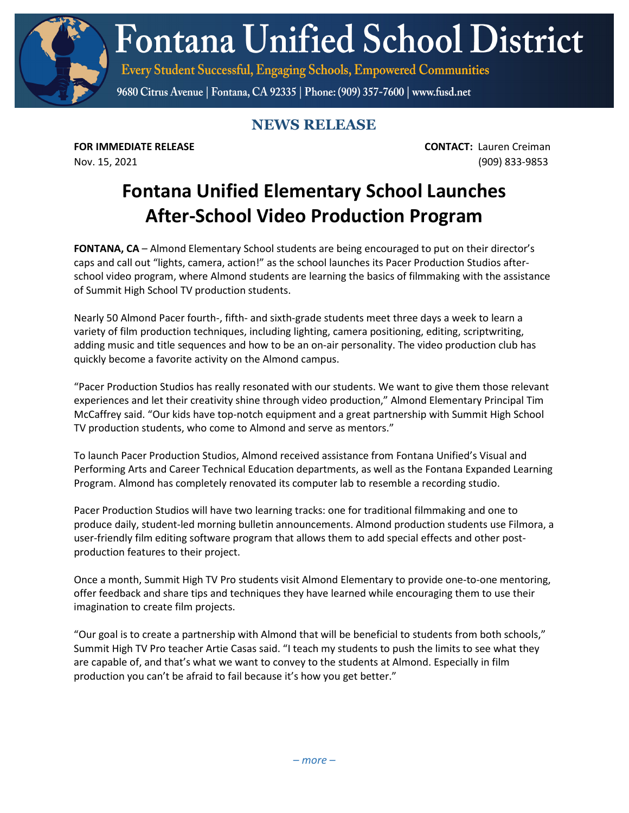**Fontana Unified School District** 

Every Student Successful, Engaging Schools, Empowered Communities

9680 Citrus Avenue | Fontana, CA 92335 | Phone: (909) 357-7600 | www.fusd.net

## **NEWS RELEASE**

**FOR IMMEDIATE RELEASE CONTACT:** Lauren Creiman Nov. 15, 2021 (909) 833-9853

## **Fontana Unified Elementary School Launches After-School Video Production Program**

**FONTANA, CA** – Almond Elementary School students are being encouraged to put on their director's caps and call out "lights, camera, action!" as the school launches its Pacer Production Studios afterschool video program, where Almond students are learning the basics of filmmaking with the assistance of Summit High School TV production students.

Nearly 50 Almond Pacer fourth-, fifth- and sixth-grade students meet three days a week to learn a variety of film production techniques, including lighting, camera positioning, editing, scriptwriting, adding music and title sequences and how to be an on-air personality. The video production club has quickly become a favorite activity on the Almond campus.

"Pacer Production Studios has really resonated with our students. We want to give them those relevant experiences and let their creativity shine through video production," Almond Elementary Principal Tim McCaffrey said. "Our kids have top-notch equipment and a great partnership with Summit High School TV production students, who come to Almond and serve as mentors."

To launch Pacer Production Studios, Almond received assistance from Fontana Unified's Visual and Performing Arts and Career Technical Education departments, as well as the Fontana Expanded Learning Program. Almond has completely renovated its computer lab to resemble a recording studio.

Pacer Production Studios will have two learning tracks: one for traditional filmmaking and one to produce daily, student-led morning bulletin announcements. Almond production students use Filmora, a user-friendly film editing software program that allows them to add special effects and other postproduction features to their project.

Once a month, Summit High TV Pro students visit Almond Elementary to provide one-to-one mentoring, offer feedback and share tips and techniques they have learned while encouraging them to use their imagination to create film projects.

"Our goal is to create a partnership with Almond that will be beneficial to students from both schools," Summit High TV Pro teacher Artie Casas said. "I teach my students to push the limits to see what they are capable of, and that's what we want to convey to the students at Almond. Especially in film production you can't be afraid to fail because it's how you get better."